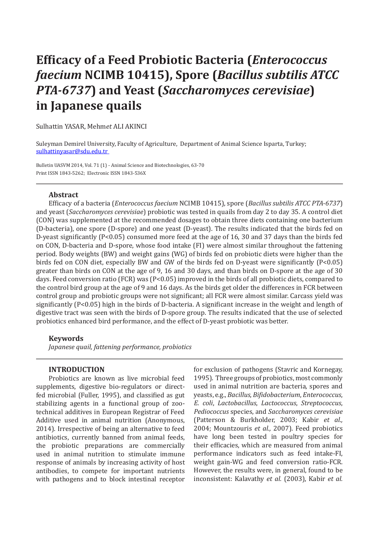# **Efficacy of a Feed Probiotic Bacteria (***Enterococcus faecium* **NCIMB 10415), Spore (***Bacillus subtilis ATCC PTA-6737***) and Yeast (***Saccharomyces cerevisiae***) in Japanese quails**

Sulhattin YASAR, Mehm*et* ALI AKINCI

Suleyman Demirel University, Faculty of Agriculture, Department of Animal Science Isparta, Turkey; sulhattinyasar@sdu.edu.tr

Bulletin UASVM 2014, Vol. 71 (1) - Animal Science and Biotechnologies, 63-70 Print ISSN 1843-5262; Electronic ISSN 1843-536X

## **Abstract**

Efficacy of a bacteria (*Enterococcus faecium* NCIMB 10415), spore (*Bacillus subtilis ATCC PTA-6737*) and yeast (*Saccharomyces cerevisiae*) probiotic was tested in quails from day 2 to day 35. A control diet (CON) was supplemented at the recommended dosages to obtain three diets containing one bacterium (D-bacteria), one spore (D-spore) and one yeast (D-yeast). The results indicated that the birds fed on D-yeast significantly (P<0.05) consumed more feed at the age of 16, 30 and 37 days than the birds fed on CON, D-bacteria and D-spore, whose food intake (FI) were almost similar throughout the fattening period. Body weights (BW) and weight gains (WG) of birds fed on probiotic diets were higher than the birds fed on CON diet, especially BW and GW of the birds fed on D-yeast were significantly (P<0.05) greater than birds on CON at the age of 9, 16 and 30 days, and than birds on D-spore at the age of 30 days. Feed conversion ratio (FCR) was (P<0.05) improved in the birds of all probiotic diets, compared to the control bird group at the age of 9 and 16 days. As the birds get older the differences in FCR between control group and probiotic groups were not significant; all FCR were almost similar. Carcass yield was significantly (P<0.05) high in the birds of D-bacteria. A significant increase in the weight and length of digestive tract was seen with the birds of D-spore group. The results indicated that the use of selected probiotics enhanced bird performance, and the effect of D-yeast probiotic was better.

## **Keywords**

*Japanese quail, fattening performance, probiotics*

### **INTRODUCTION**

Probiotics are known as live microbial feed supplements, digestive bio-regulators or directfed microbial (Fuller, 1995), and classified as gut stabilizing agents in a functional group of zootechnical additives in European Registrar of Feed Additive used in animal nutrition (Anonymous, 2014). Irrespective of being an alternative to feed antibiotics, currently banned from animal feeds, the probiotic preparations are commercially used in animal nutrition to stimulate immune response of animals by increasing activity of host antibodies, to compete for important nutrients with pathogens and to block intestinal receptor for exclusion of pathogens (Stavric and Kornegay, 1995). Three groups of probiotics, most commonly used in animal nutrition are bacteria*,* spores and yeasts, e.g., *Bacillus*, *Bifidobacterium*, *Enterococcus*, *E. coli*, *Lactobacillus*, *Lactococcus*, *Streptococcus*, *Pediococcus* species, and *Saccharomyces cerevisiae* (Patterson & Burkholder, 2003; Kabir *et al.,* 2004; Mountzouris *et al.,* 2007). Feed probiotics have long been tested in poultry species for their efficacies, which are measured from animal performance indicators such as feed intake-FI, weight gain-WG and feed conversion ratio-FCR. However, the results were, in general, found to be inconsistent: Kalavathy *et al.* (2003), Kabir *et al.*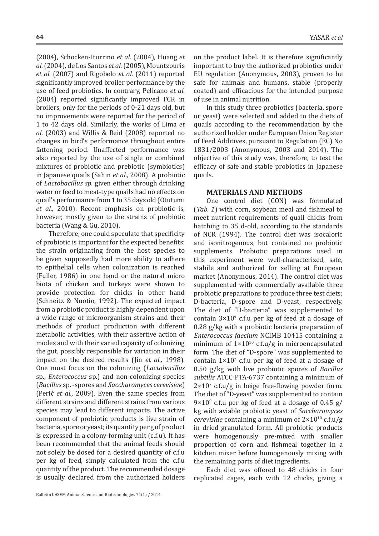(2004), Schocken-Iturrino *et al.* (2004), Huang *et al.*(2004), de Los Santos *et al.*(2005), Mountzouris *et al.* (2007) and Rigobelo *et al.* (2011) reported significantly improved broiler performance by the use of feed probiotics. In contrary, Pelicano *et al.* (2004) reported significantly improved FCR in broilers, only for the periods of 0-21 days old, but no improvements were reported for the period of 1 to 42 days old. Similarly, the works of Lima *et al.* (2003) and Willis & Reid (2008) reported no changes in bird's performance throughout entire fattening period. Unaffected performance was also reported by the use of single or combined mixtures of probiotic and prebiotic (symbiotics) in Japanese quails (Sahin *et al.,* 2008). A probiotic of *Lactobacillus sp*. given either through drinking water or feed to meat-type quails had no effects on quail's performance from 1 to 35 days old (Otutumi *et al.,* 2010). Recent emphasis on probiotic is, however, mostly given to the strains of probiotic bacteria (Wang & Gu, 2010).

Therefore, one could speculate that specificity of probiotic is important for the expected benefits: the strain originating from the host species to be given supposedly had more ability to adhere to epithelial cells when colonization is reached (Fuller, 1986) in one hand or the natural micro biota of chicken and turkeys were shown to provide protection for chicks in other hand (Schneitz & Nuotio, 1992). The expected impact from a probiotic product is highly dependent upon a wide range of microorganism strains and their methods of product production with different metabolic activities, with their assertive action of modes and with their varied capacity of colonizing the gut, possibly responsible for variation in their impact on the desired results (Jin *et al.,* 1998). One must focus on the colonizing (*Lactobacillus* sp., *Enterococcus* sp.) and non-colonizing species (*Bacillus* sp. -spores and *Saccharomyces cerevisiae*) (Perić *et al.,* 2009). Even the same species from different strains and different strains from various species may lead to different impacts. The active component of probiotic products is live strain of bacteria, spore or yeast; its quantity per g of product is expressed in a colony-forming unit (c.f.u). It has been recommended that the animal feeds should not solely be dosed for a desired quantity of c.f.u per kg of feed, simply calculated from the c.f.u quantity of the product. The recommended dosage is usually declared from the authorized holders

on the product label. It is therefore significantly important to buy the authorized probiotics under EU regulation (Anonymous, 2003), proven to be safe for animals and humans, stable (properly coated) and efficacious for the intended purpose of use in animal nutrition.

In this study three probiotics (bacteria, spore or yeast) were selected and added to the diets of quails according to the recommendation by the authorized holder under European Union Register of Feed Additives, pursuant to Regulation (EC) No 1831/2003 (Anonymous, 2003 and 2014). The objective of this study was, therefore, to test the efficacy of safe and stable probiotics in Japanese quails.

#### **MATERIALS AND METHODS**

One control diet (CON) was formulated (*Tab. 1*) with corn, soybean meal and fishmeal to meet nutrient requirements of quail chicks from hatching to 35 d-old, according to the standards of NCR (1994). The control diet was isocaloric and isonitrogenous, but contained no probiotic supplements. Probiotic preparations used in this experiment were well-characterized, safe, stabile and authorized for selling at European market (Anonymous, 2014). The control diet was supplemented with commercially available three probiotic preparations to produce three test diets; D-bacteria, D-spore and D-yeast, respectively. The diet of "D-bacteria" was supplemented to contain  $3\times10^9$  c.f.u per kg of feed at a dosage of 0.28 g/kg with a probiotic bacteria preparation of *Enterococcus faecium* NCIMB 10415 containing a minimum of  $1 \times 10^{10}$  c.f.u/g in microencapsulated form. The diet of "D-spore" was supplemented to contain  $1\times10^7$  c.f.u per kg of feed at a dosage of 0.50 g/kg with live probiotic spores of *Bacillus subtilis* ATCC PTA-6737 containing a minimum of  $2\times10^7$  c.f.u/g in beige free-flowing powder form. The diet of "D-yeast" was supplemented to contain  $9\times10^{9}$  c.f.u per kg of feed at a dosage of 0.45 g/ kg with aviable probiotic yeast of *Saccharomyces cerevisiae* containing a minimum of  $2 \times 10^{10}$  c.f.u/g in dried granulated form. All probiotic products were homogenously pre-mixed with smaller proportion of corn and fishmeal together in a kitchen mixer before homogenously mixing with the remaining parts of diet ingredients.

Each diet was offered to 48 chicks in four replicated cages, each with 12 chicks, giving a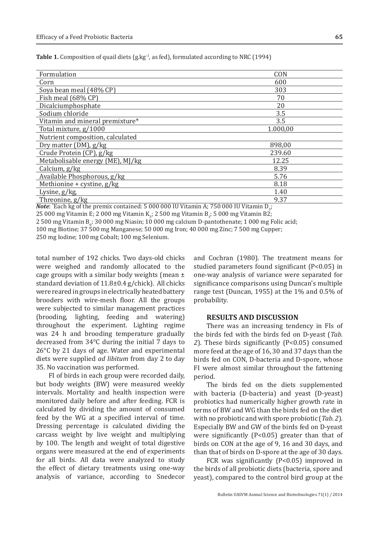| Table 1. Composition of quail diets (g.kg <sup>-1</sup> , as fed), formulated according to NRC (1994) |  |  |
|-------------------------------------------------------------------------------------------------------|--|--|
|-------------------------------------------------------------------------------------------------------|--|--|

| Formulation                                                                                                                                                                                                                                                                                                                                                                                                                                                                                                                                                                                                               | CON      |
|---------------------------------------------------------------------------------------------------------------------------------------------------------------------------------------------------------------------------------------------------------------------------------------------------------------------------------------------------------------------------------------------------------------------------------------------------------------------------------------------------------------------------------------------------------------------------------------------------------------------------|----------|
| Corn                                                                                                                                                                                                                                                                                                                                                                                                                                                                                                                                                                                                                      | 600      |
| Soya bean meal (48% CP)                                                                                                                                                                                                                                                                                                                                                                                                                                                                                                                                                                                                   | 303      |
| Fish meal (68% CP)                                                                                                                                                                                                                                                                                                                                                                                                                                                                                                                                                                                                        | 70       |
| Dicalciumphosphate                                                                                                                                                                                                                                                                                                                                                                                                                                                                                                                                                                                                        | 20       |
| Sodium chloride                                                                                                                                                                                                                                                                                                                                                                                                                                                                                                                                                                                                           | 3.5      |
| Vitamin and mineral premixture*                                                                                                                                                                                                                                                                                                                                                                                                                                                                                                                                                                                           | 3.5      |
| Total mixture, g/1000                                                                                                                                                                                                                                                                                                                                                                                                                                                                                                                                                                                                     | 1.000,00 |
| Nutrient composition, calculated                                                                                                                                                                                                                                                                                                                                                                                                                                                                                                                                                                                          |          |
| Dry matter (DM), g/kg                                                                                                                                                                                                                                                                                                                                                                                                                                                                                                                                                                                                     | 898,00   |
| Crude Protein (CP), g/kg                                                                                                                                                                                                                                                                                                                                                                                                                                                                                                                                                                                                  | 239.60   |
| Metabolisable energy (ME), MJ/kg                                                                                                                                                                                                                                                                                                                                                                                                                                                                                                                                                                                          | 12.25    |
| Calcium, $g/kg$                                                                                                                                                                                                                                                                                                                                                                                                                                                                                                                                                                                                           | 8.39     |
| Available Phosphorous, g/kg                                                                                                                                                                                                                                                                                                                                                                                                                                                                                                                                                                                               | 5.76     |
| Methionine + cystine, $g/kg$                                                                                                                                                                                                                                                                                                                                                                                                                                                                                                                                                                                              | 8.18     |
| Lysine, $g/kg$ ,                                                                                                                                                                                                                                                                                                                                                                                                                                                                                                                                                                                                          | 1.40     |
| Threonine, g/kg                                                                                                                                                                                                                                                                                                                                                                                                                                                                                                                                                                                                           | 9.37     |
| $\frac{1}{2}$ = 0.00 0.00 $\frac{1}{2}$ = 0.00 $\frac{1}{2}$ = 0.00 $\frac{1}{2}$ = 0.00 $\frac{1}{2}$ = 0.00 $\frac{1}{2}$ = 0.00 $\frac{1}{2}$ = 0.00 $\frac{1}{2}$ = 0.00 $\frac{1}{2}$ = 0.00 $\frac{1}{2}$ = 0.00 $\frac{1}{2}$ = 0.00 $\frac{1}{2}$ = 0.00 $\frac{1}{2}$ =<br>$\frac{1}{2}$ $\frac{1}{2}$ $\frac{1}{2}$ $\frac{1}{2}$ $\frac{1}{2}$ $\frac{1}{2}$ $\frac{1}{2}$ $\frac{1}{2}$ $\frac{1}{2}$ $\frac{1}{2}$ $\frac{1}{2}$ $\frac{1}{2}$ $\frac{1}{2}$ $\frac{1}{2}$ $\frac{1}{2}$ $\frac{1}{2}$ $\frac{1}{2}$ $\frac{1}{2}$ $\frac{1}{2}$ $\frac{1}{2}$ $\frac{1}{2}$ $\frac{1}{2}$<br>$\overline{a}$ |          |

**Note**:  $\text{Each kg of the premix contained: } 5000000 \text{ IU Vitamin A; } 750000 \text{ IU Vitamin B}<sub>3</sub>;$ 

 $25\,000$  mg Vitamin E; 2 000 mg Vitamin K<sub>3</sub>; 2 500 mg Vitamin B<sub>1</sub>; 5 000 mg Vitamin B2;

 $2\,500$  mg Vitamin B<sub>6</sub>; 30 000 mg Niasin; 10 000 mg calcium D-pantothenate; 1 000 mg Folic acid;

100 mg Biotine; 37 500 mg Manganese; 50 000 mg Iron; 40 000 mg Zinc; 7 500 mg Cupper;

250 mg Iodine; 100 mg Cobalt; 100 mg Selenium.

total number of 192 chicks. Two days-old chicks were weighed and randomly allocated to the cage groups with a similar body weights (mean  $\pm$ standard deviation of 11.8±0.4 g/chick). All chicks were reared in groups in electrically heated battery brooders with wire-mesh floor. All the groups were subjected to similar management practices (brooding, lighting, feeding and watering) throughout the experiment. Lighting regime was 24 h and brooding temperature gradually decreased from 34°C during the initial 7 days to 26°C by 21 days of age. Water and experimental diets were supplied *ad libitum* from day 2 to day 35. No vaccination was performed.

FI of birds in each group were recorded daily, but body weights (BW) were measured weekly intervals. Mortality and health inspection were monitored daily before and after feeding. FCR is calculated by dividing the amount of consumed feed by the WG at a specified interval of time. Dressing percentage is calculated dividing the carcass weight by live weight and multiplying by 100. The length and weight of total digestive organs were measured at the end of experiments for all birds. All data were analyzed to study the effect of dietary treatments using one-way analysis of variance, according to Snedecor and Cochran (1980). The treatment means for studied parameters found significant (P<0.05) in one-way analysis of variance were separated for significance comparisons using Duncan's multiple range test (Duncan, 1955) at the 1% and 0.5% of probability.

#### **RESULTS AND DISCUSSION**

There was an increasing tendency in FIs of the birds fed with the birds fed on D-yeast (*Tab. 2*). These birds significantly (P<0.05) consumed more feed at the age of 16, 30 and 37 days than the birds fed on CON, D-bacteria and D-spore, whose FI were almost similar throughout the fattening period.

The birds fed on the diets supplemented with bacteria (D-bacteria) and yeast (D-yeast) probiotics had numerically higher growth rate in terms of BW and WG than the birds fed on the diet with no probiotic and with spore probiotic (*Tab. 2*). Especially BW and GW of the birds fed on D-yeast were significantly (P<0.05) greater than that of birds on CON at the age of 9, 16 and 30 days, and than that of birds on D-spore at the age of 30 days.

FCR was significantly (P<0.05) improved in the birds of all probiotic diets (bacteria, spore and yeast), compared to the control bird group at the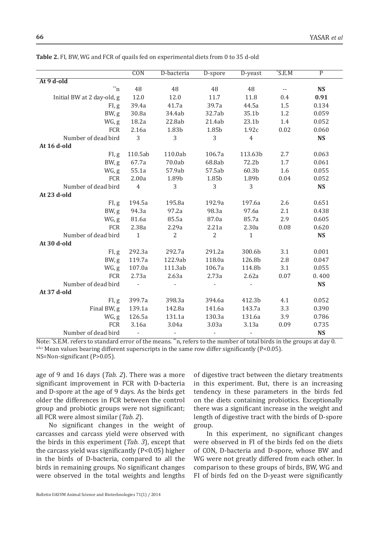|                                | $\overline{CON}$ | D-bacteria               | D-spore        | D-yeast        | $^{\ast}$ S.E.M            | $\overline{P}$ |
|--------------------------------|------------------|--------------------------|----------------|----------------|----------------------------|----------------|
| At 9 d-old                     |                  |                          |                |                |                            |                |
| $\overline{\ }^{\ast \ast }$ n | 48               | 48                       | 48             | 48             | $\overline{\phantom{a}}$ . | <b>NS</b>      |
| Initial BW at 2 day-old, g     | 12.0             | $12.0\,$                 | 11.7           | 11.8           | 0.4                        | 0.91           |
| FI, g                          | 39.4a            | 41.7a                    | 39.7a          | 44.5a          | 1.5                        | 0.134          |
| BW, g                          | 30.8a            | 34.4ab                   | 32.7ab         | 35.1b          | 1.2                        | 0.059          |
| WG, g                          | 18.2a            | 22.8ab                   | 21.4ab         | 23.1b          | 1.4                        | 0.052          |
| FCR                            | 2.16a            | 1.83b                    | 1.85b          | 1.92c          | 0.02                       | 0.060          |
| Number of dead bird            | 3                | 3                        | 3              | $\overline{4}$ |                            | <b>NS</b>      |
| At 16 d-old                    |                  |                          |                |                |                            |                |
| FI, g                          | 110.5ab          | 110.0ab                  | 106.7a         | 113.63b        | 2.7                        | 0.063          |
| BW, g                          | 67.7a            | 70.0ab                   | 68.8ab         | 72.2b          | 1.7                        | 0.061          |
| WG, g                          | 55.1a            | 57.9ab                   | 57.5ab         | 60.3b          | 1.6                        | 0.055          |
| FCR                            | 2.00a            | 1.89b                    | 1.85b          | 1.89b          | 0.04                       | 0.052          |
| Number of dead bird            | $\overline{4}$   | 3                        | 3              | 3              |                            | <b>NS</b>      |
| At 23 d-old                    |                  |                          |                |                |                            |                |
| FI, g                          | 194.5a           | 195.8a                   | 192.9a         | 197.6a         | 2.6                        | 0.651          |
| BW, g                          | 94.3a            | 97.2a                    | 98.3a          | 97.6a          | 2.1                        | 0.438          |
| WG, g                          | 81.6a            | 85.5a                    | 87.0a          | 85.7a          | 2.9                        | 0.605          |
| <b>FCR</b>                     | 2.38a            | 2.29a                    | 2.21a          | 2.30a          | 0.08                       | 0.620          |
| Number of dead bird            | $\mathbf{1}$     | $\overline{2}$           | $\overline{2}$ | $\mathbf{1}$   |                            | <b>NS</b>      |
| At 30 d-old                    |                  |                          |                |                |                            |                |
| FI, g                          | 292.3a           | 292.7a                   | 291.2a         | 300.6b         | 3.1                        | 0.001          |
| BW, g                          | 119.7a           | 122.9ab                  | 118.0a         | 126.8b         | 2.8                        | 0.047          |
| WG, g                          | 107.0a           | 111.3ab                  | 106.7a         | 114.8b         | 3.1                        | 0.055          |
| <b>FCR</b>                     | 2.73a            | 2.63a                    | 2.73a          | 2.62a          | 0.07                       | 0.400          |
| Number of dead bird            | $\omega$         | $\blacksquare$           | ÷,             |                |                            | <b>NS</b>      |
| At 37 d-old                    |                  |                          |                |                |                            |                |
| FI, g                          | 399.7a           | 398.3a                   | 394.6a         | 412.3b         | 4.1                        | 0.052          |
| Final BW, g                    | 139.1a           | 142.8a                   | 141.6a         | 143.7a         | 3.3                        | 0.390          |
| WG, g                          | 126.5a           | 131.1a                   | 130.3a         | 131.6a         | 3.9                        | 0.786          |
| <b>FCR</b>                     | 3.16a            | 3.04a                    | 3.03a          | 3.13a          | 0.09                       | 0.735          |
| Number of dead bird            | $\blacksquare$   | $\overline{\phantom{a}}$ |                |                |                            | <b>NS</b>      |

**Table 2.** FI, BW, WG and FCR of quails fed on experimental diets from 0 to 35 d-old

Note: \*S.E.M. refers to standard error of the means. \*\*n, refers to the number of total birds in the groups at day 0. a,b,c Mean values bearing different superscripts in the same row differ significantly (P<0.05). NS=Non-significant (P>0.05).

age of 9 and 16 days (*Tab. 2*). There was a more significant improvement in FCR with D-bacteria and D-spore at the age of 9 days. As the birds get older the differences in FCR between the control group and probiotic groups were not significant; all FCR were almost similar (*Tab. 2*).

No significant changes in the weight of carcasses and carcass yield were observed with the birds in this experiment (*Tab. 3*), except that the carcass yield was significantly (P<0.05) higher in the birds of D-bacteria, compared to all the birds in remaining groups. No significant changes were observed in the total weights and lengths

of digestive tract between the dietary treatments in this experiment. But, there is an increasing tendency in these parameters in the birds fed on the diets containing probiotics. Exceptionally there was a significant increase in the weight and length of digestive tract with the birds of D-spore group.

In this experiment, no significant changes were observed in FI of the birds fed on the diets of CON, D-bacteria and D-spore, whose BW and WG were not greatly differed from each other. In comparison to these groups of birds, BW, WG and FI of birds fed on the D-yeast were significantly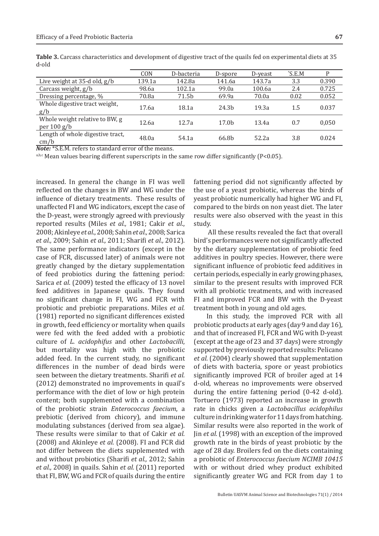Whole weight relative to BW, g<br>per 100 g/b

Length of whole digestive tract,

| blo-l                                |        |            |                   |         |                    |       |
|--------------------------------------|--------|------------|-------------------|---------|--------------------|-------|
|                                      | CON    | D-bacteria | D-spore           | D-veast | $\mathcal{S}$ .E.M |       |
| Live weight at $35-d$ old, $g/b$     | 139.1a | 142.8a     | 141.6a            | 143.7a  | 3.3                | 0.390 |
| Carcass weight, $g/b$                | 98.6a  | 102.1a     | 99.0a             | 100.6a  | 2.4                | 0.725 |
| Dressing percentage, %               | 70.8a  | 71.5b      | 69.9a             | 70.0a   | 0.02               | 0.052 |
| Whole digestive tract weight,<br>g/b | 17.6a  | 18.1a      | 24.3 <sub>h</sub> | 19.3a   | 1.5                | 0.037 |

**Table 3.** Carcass characteristics and development of digestive tract of the quails fed on experimental diets at 35 d-old

per 100 g/b 12.6a 12.7a 17.0b 13.4a 0.7 0,050

cm/b  $\frac{36}{248.0a}$  54.1a 66.8b 52.2a 3.8 0.024 *Note:* \*S.E.M. refers to standard error of the means.

a,b,c Mean values bearing different superscripts in the same row differ significantly (P<0.05).

increased. In general the change in FI was well reflected on the changes in BW and WG under the influence of dietary treatments. These results of unaffected FI and WG indicators, except the case of the D-yeast, were strongly agreed with previously reported results (Miles *et al.,* 1981; Cakir *et al*., 2008; Akinleye *et al*., 2008; Sahin *et al.,* 2008; Sarica *et al.,* 2009; Sahin *et al.,* 2011; Sharifi *et al.,* 2012). The same performance indicators (except in the case of FCR, discussed later) of animals were not greatly changed by the dietary supplementation of feed probiotics during the fattening period: Sarica *et al*. (2009) tested the efficacy of 13 novel feed additives in Japanese quails. They found no significant change in FI, WG and FCR with probiotic and prebiotic preparations. Miles *et al.* (1981) reported no significant differences existed in growth, feed efficiency or mortality when quails were fed with the feed added with a probiotic culture of *L. acidophifus* and other *Lactobacilli*, but mortality was high with the probiotic added feed. In the current study, no significant differences in the number of dead birds were seen between the dietary treatments. Sharifi *et al.* (2012) demonstrated no improvements in quail's performance with the diet of low or high protein content; both supplemented with a combination of the probiotic strain *Enterococcus faecium*, a prebiotic (derived from chicory), and immune modulating substances (derived from sea algae). These results were similar to that of Cakir *et al.* (2008) and Akinleye *et al.* (2008). FI and FCR did not differ between the diets supplemented with and without probiotics (Sharifi *et al.,* 2012; Sahin *et al.,* 2008) in quails. Sahin *et al.* (2011) reported that FI, BW, WG and FCR of quails during the entire

fattening period did not significantly affected by the use of a yeast probiotic, whereas the birds of yeast probiotic numerically had higher WG and FI, compared to the birds on non yeast diet. The later results were also observed with the yeast in this study.

 All these results revealed the fact that overall bird's performances were not significantly affected by the dietary supplementation of probiotic feed additives in poultry species. However, there were significant influence of probiotic feed additives in certain periods, especially in early growing phases, similar to the present results with improved FCR with all probiotic treatments, and with increased FI and improved FCR and BW with the D-yeast treatment both in young and old ages.

In this study, the improved FCR with all probiotic products at early ages (day 9 and day 16), and that of increased FI, FCR and WG with D-yeast (except at the age of 23 and 37 days) were strongly supported by previously reported results: Pelicano *et al.* (2004) clearly showed that supplementation of diets with bacteria, spore or yeast probiotics significantly improved FCR of broiler aged at 14 d-old, whereas no improvements were observed during the entire fattening period (0-42 d-old). Tortuero (1973) reported an increase in growth rate in chicks given a *Lactobacillus acidophilus* culture in drinking water for 11 days from hatching. Similar results were also reported in the work of Jin *et al.* (1998) with an exception of the improved growth rate in the birds of yeast probiotic by the age of 28 day. Broilers fed on the diets containing a probiotic of *Enterococcus faecium NCIMB 10415* with or without dried whey product exhibited significantly greater WG and FCR from day 1 to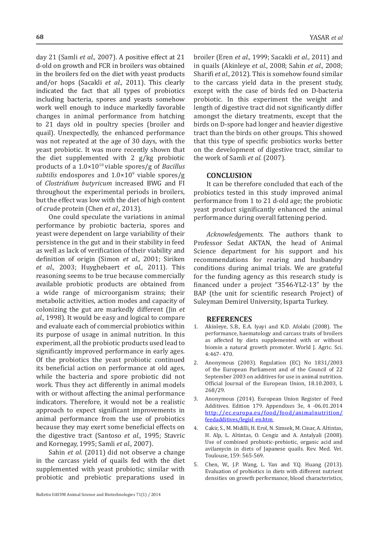day 21 (Samli *et al.,* 2007). A positive effect at 21 d-old on growth and FCR in broilers was obtained in the broilers fed on the diet with yeast products and/or hops (Sacakli *et al.,* 2011). This clearly indicated the fact that all types of probiotics including bacteria, spores and yeasts somehow work well enough to induce markedly favorable changes in animal performance from hatching to 21 days old in poultry species (broiler and quail). Unexpectedly, the enhanced performance was not repeated at the age of 30 days, with the yeast probiotic. It was more recently shown that the diet supplemented with 2 g/kg probiotic products of a 1.0×1010 viable spores/g of *Bacillus*  subtilis endospores and 1.0×10<sup>9</sup> viable spores/g of *Clostridium butyricum* increased BWG and FI throughout the experimental periods in broilers, but the effect was low with the diet of high content of crude protein (Chen *et al.,* 2013).

One could speculate the variations in animal performance by probiotic bacteria, spores and yeast were dependent on large variability of their persistence in the gut and in their stability in feed as well as lack of verification of their viability and definition of origin (Simon *et al.,* 2001; Siriken *et al.,* 2003; Huyghebaert *et al.,* 2011). This reasoning seems to be true because commercially available probiotic products are obtained from a wide range of microorganism strains; their metabolic activities, action modes and capacity of colonizing the gut are markedly different (Jin *et al.,* 1998). It would be easy and logical to compare and evaluate each of commercial probiotics within its purpose of usage in animal nutrition. In this experiment, all the probiotic products used lead to significantly improved performance in early ages. Of the probiotics the yeast probiotic continued its beneficial action on performance at old ages, while the bacteria and spore probiotic did not work. Thus they act differently in animal models with or without affecting the animal performance indicators. Therefore, it would not be a realistic approach to expect significant improvements in animal performance from the use of probiotics because they may exert some beneficial effects on the digestive tract (Santoso *et al.,* 1995; Stavric and Kornegay, 1995; Samli *et al.,* 2007).

Sahin *et al.* (2011) did not observe a change in the carcass yield of quails fed with the diet supplemented with yeast probiotic; similar with probiotic and prebiotic preparations used in broiler (Eren *et al.,* 1999; Sacakli *et al.,* 2011) and in quails (Akinleye *et al.,* 2008; Sahin *et al.,* 2008; Sharifi *et al.,* 2012). This is somehow found similar to the carcass yield data in the present study, except with the case of birds fed on D-bacteria probiotic. In this experiment the weight and length of digestive tract did not significantly differ amongst the dietary treatments, except that the birds on D-spore had longer and heavier digestive tract than the birds on other groups. This showed that this type of specific probiotics works better on the development of digestive tract, similar to the work of Samli *et al.* (2007)*.*

#### **CONCLUSION**

It can be therefore concluded that each of the probiotics tested in this study improved animal performance from 1 to 21 d-old age; the probiotic yeast product significantly enhanced the animal performance during overall fattening period.

*Acknowledgements.* The authors thank to Professor Sedat AKTAN, the head of Animal Science department for his support and his recommendations for rearing and husbandry conditions during animal trials. We are grateful for the funding agency as this research study is financed under a project "3546-YL2-13" by the BAP (the unit for scientific research Project) of Suleyman Demirel University, Isparta Turkey.

#### **REFERENCES**

- 1. Akinleye, S.B., E.A. Iyayi and K.D. Afolabi (2008). The performance, haematology and carcass traits of broilers as affected by diets supplemented with or without biomin a natural growth promoter. World J. Agric. Sci. 4:467- 470.
- 2. Anonymous (2003). Regulation (EC) No 1831/2003 of the European Parliament and of the Council of 22 September 2003 on additives for use in animal nutrition. Official Journal of the European Union, 18.10.2003, L 268/29.
- 3. Anonymous (2014). European Union Register of Feed Additives. Edition 179. Appendixes 3e, 4 -06.01.2014 http://ec.europa.eu/food/food/animalnutrition/ feedadditives/legisl\_en.htm
- 4. Cakir, S., M. Midilli, H. Erol, N. Simsek, M. Cinar, A. Altintas, H. Alp, L. Altintas, O. Cengiz and A. Antalyali (2008). Use of combined probiotic-prebiotic, organic acid and avilamycin in diets of Japanese quails. Rev. Med. Vet. Toulouse, 159: 565-569.
- 5. Chen, W., J.P. Wang, L. Yan and Y.Q. Huang (2013). Evaluation of probiotics in diets with different nutrient densities on growth performance, blood characteristics,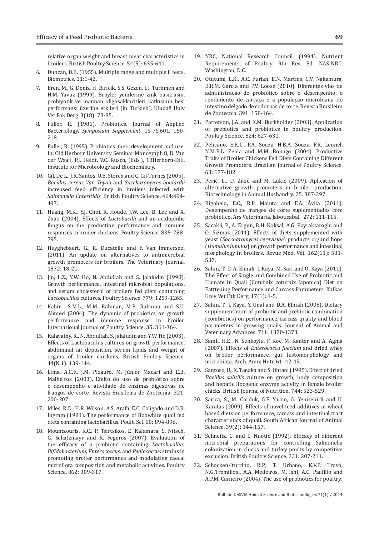relative organ weight and breast meat characteristics in broilers. British Poultry Science. 54(5): 635-641.

- 6. Duncan, D.B. (1955). Multiple range and multiple F tests. Biometrics. 11:1-42.
- 7. Eren, M., G. Deniz, H. Biricik, S.S. Gezen, I.I. Turkmen and H.M. Yavuz (1999). Broyler yemlerine zink basitrasin, probiyotik ve mannan oligosakkaritleri katkısının besi performansı üzerine etkileri (in Turkish). Uludağ Univ Vet Fak Derg. 3(18): 73-85.
- 8. Fuller, R. (1986). Probiotics. Journal of Applied Bacteriology, *Symposium Supplement*, 1S-7S,601, 160- 218.
- 9. Fuller, R. (1995). Probiotics, their development and use. In: Old Herborn University Seminar Monograph 8, D. Van der Waaji, P.J. Heidt, V.C. Rusch, (Eds.), 18Herborn-Dill, Institute for Microbiology and Biochemistry.
- 10. Gil, De L., J.R. Santos, O.B. Storch and C. Gil-Turnes (2005). *Bacillus cereus Var. Toyoii* and *Saccharomyces boulardii* increased feed efficiency in broilers infected with *Salmonella Enteritidis*. British Poultry Science. 464:494- 497.
- 11. Huang, M.K., Y.J. Choi, R. Houde, J.W. Lee, B. Lee and X. Zhao (2004). Effects of *Lactobacilli* and an acidophilic fungus on the production performance and immune responses in broiler chickens. Poultry Science. 835: 788- 795.
- 12. Huyghebaert, G., R. Ducatelle and F. Van Immerseel (2011). An update on alternatives to antimicrobial growth promoters for broilers. The Veterinary Journal. 1872: 18-21.
- 13. Jin, L.Z., Y.W. Ho, N. Abdullah and S. Jalaludin (1998). Growth performance, intestinal microbial populations, and serum cholesterol of broilers fed diets containing *Lactobacillus* cultures. Poultry Science. 779: 1259-1265.
- 14. Kabir, S.M.L., M.M. Rahman, M.B. Rahman and S.U. Ahmed (2004). The dynamic of probiotics on growth performance and immune response in broiler. International Journal of Poultry Science. 35: 361-364.
- 15. Kalavathy, R., N. Abdullah, S. Jalaludin and Y.W. Ho (2003). Effects of Lactobacillus cultures on growth performance, abdominal fat deposition, serum lipids and weight of organs of broiler chickens. British Poultry Science. 44(N.1): 139-144.
- 16. Lima, A.C.F., J.M. Pizauro, M. Júnior Macari and E.B. Malheiros (2003). Efeito do uso de probiótico sobre o desempenho e atividade de enzimas digestivas de frangos de corte. Revista Brasileira de Zootecnia. 321: 200-207.
- 17. Miles, R.D., H.R. Wilson, A.S. Arafa, E.C. Coligado and D.R. Ingram (1981). The performance of Bobwhite quail fed diets containing lactobacillus. Poult. Sci. 60: 894-896.
- 18. Mountzouris, K.C., P. Tsirtsikos, E. Kalamara, S. Nitsch, G. Schatzmayr and K. Fegeros (2007). Evaluation of the efficacy of a probiotic containing *Lactobacillus, Bifidobacterium, Enterococcus,* and *Pediococcus* strains in promoting broiler performance and modulating caecal microflora composition and metabolic activities. Poultry Science. 862: 309-317.
- 19. NRC, National Research Council. (1994). Nutrient Requirements of Poultry. 9th Rev. Ed. NAS-NRC, Washington, D.C.
- 20. Otutumi, L.K., A.C. Furlan, E.N. Martins, C.V. Nakamura, E.R.M. Garcia and P.V. Loose (2010). Diferentes vias de administração de probiótico sobre o desempenho, o rendimento de carcaça e a população microbiana do intestino delgado de codornas de corte. Revista Brasileira de Zootecnia. 391: 158-164.
- 21. Patterson, J.A. and K.M. Burkholder (2003). Application of prebiotics and probiotics in poultry production. Poultry Science. 824: 627-631.
- 22. Pelicano, E.R.L., P.A. Souza, H.B.A. Souza, F.R. Leonel, N.M.B.L. Zeola and M.M. Bonago (2004). Productive Traits of Broiler Chickens Fed Diets Containing Different Growth Promoters. Brazilian Journal of Poultry Science. 63: 177-182.
- 23. Perić, L., D. Žikić and M. Lukić (2009). Aplication of alternative growth promoters in broiler production. Biotechnology in Animal Husbandry. 25: 387-397.
- 24. Rigobelo, E.C., R.P. Maluta and F.A. Ávila (2011). Desempenho de frangos de corte suplementados com probiótico. Ars Veterinaria, Jaboticabal. 272: 111-115.
- 25. Sacakli, P., A. Ergun, B.H. Koksal, A.G. Bayraktaroglu and O. Sizmaz (2011). Effects of diets supplemented with yeast (*Saccharomyces cerevisiae*) products or/and hops (*Humulus iupulus*) on growth performance and intestinal morphology in broilers. Revue Méd. Vét. 162(11): 531- 537.
- 26. Sahin, T., D.A. Elmali, I. Kaya, M. Sari and O. Kaya (2011). The Effect of Single and Combined Use of Probiotic and Humate in Quail (Coturnix coturnix Japonica) Diet on Fatttening Performance and Carcass Parameters. Kafkas Univ Vet Fak Derg. 17(1): 1-5.
- 27. Sahin, T., I. Kaya, Y. Unal and D.A. Elmali (2008). Dietary supplementation of probiotic and prebiotic combination (combiotics) on performance, carcass quality and blood parameters in growing quails. Journal of Animal and Veterinary Advances. 711: 1370-1373.
- 28. Samli, H.E., N. Senkoylu, F. Koc, M. Kanter and A. Agma (2007). Effects of *Enterococcu faecium* and dried whey on broiler performance, gut histomorphology and microbiota. Arch. Anim.Nutr. 61: 42-49.
- 29. Santoso, U., K. Tanaka and S. Ohtani (1995). Effect of dried *Bacillus subtilis* culture on growth, body composition and hepatic lipogenic enzyme activity in female broiler chicks. British Journal of Nutrition. 744: 523-529.
- 30. Sarica, S., M. Corduk, G.F. Yarim, G. Yenisehirli and U. Karatas (2009). Effects of novel feed additives in wheat based diets on performance, carcass and intestinal tract characteristics of quail. South African Journal of Animal Science. 39(2): 144-157.
- 31. Schneitz, C. and L. Nuotio (1992). Efficacy of different microbial preparations for controlling Salmonella colonization in chicks and turkey poults by competitive exclusion. British Poultry Science. 331: 207-211.
- 32. Schocken-Iturrino, R.P., T. Urbano, K.V.P. Trovó, N.G.Tremiliosi, A.A. Medeiros, M. Ishi, A.C. Paulillo and A.P.M. Carneiro (2004). The use of probiotics for poultry: